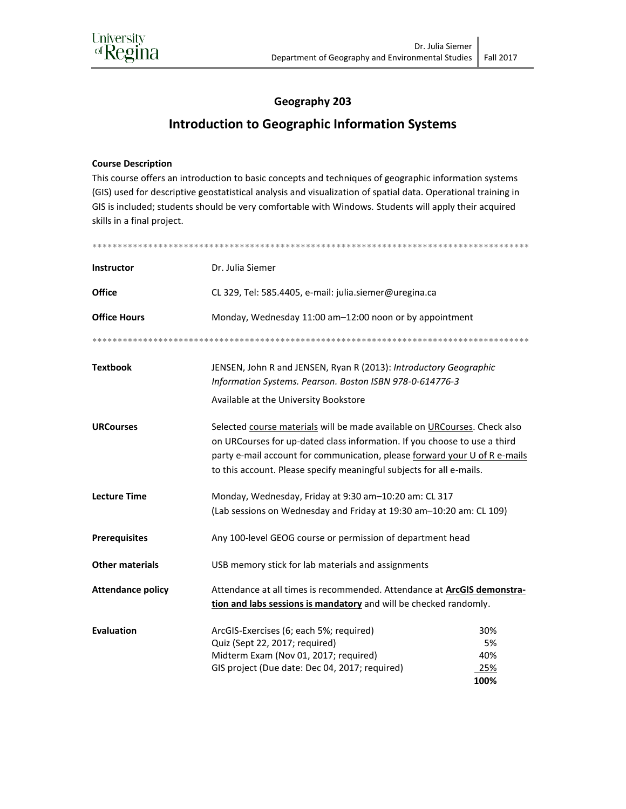## Geography 203

## **Introduction to Geographic Information Systems**

## **Course Description**

This course offers an introduction to basic concepts and techniques of geographic information systems (GIS) used for descriptive geostatistical analysis and visualization of spatial data. Operational training in GIS is included; students should be very comfortable with Windows. Students will apply their acquired skills in a final project.

| <b>Instructor</b>        | Dr. Julia Siemer                                                                                                                                                                                                                                                                                             |                                 |  |
|--------------------------|--------------------------------------------------------------------------------------------------------------------------------------------------------------------------------------------------------------------------------------------------------------------------------------------------------------|---------------------------------|--|
| <b>Office</b>            | CL 329, Tel: 585.4405, e-mail: julia.siemer@uregina.ca                                                                                                                                                                                                                                                       |                                 |  |
| <b>Office Hours</b>      | Monday, Wednesday 11:00 am-12:00 noon or by appointment                                                                                                                                                                                                                                                      |                                 |  |
|                          |                                                                                                                                                                                                                                                                                                              |                                 |  |
| <b>Textbook</b>          | JENSEN, John R and JENSEN, Ryan R (2013): Introductory Geographic<br>Information Systems. Pearson. Boston ISBN 978-0-614776-3<br>Available at the University Bookstore                                                                                                                                       |                                 |  |
| <b>URCourses</b>         | Selected course materials will be made available on URCourses. Check also<br>on URCourses for up-dated class information. If you choose to use a third<br>party e-mail account for communication, please forward your U of R e-mails<br>to this account. Please specify meaningful subjects for all e-mails. |                                 |  |
| <b>Lecture Time</b>      | Monday, Wednesday, Friday at 9:30 am-10:20 am: CL 317<br>(Lab sessions on Wednesday and Friday at 19:30 am-10:20 am: CL 109)                                                                                                                                                                                 |                                 |  |
| <b>Prerequisites</b>     | Any 100-level GEOG course or permission of department head                                                                                                                                                                                                                                                   |                                 |  |
| <b>Other materials</b>   | USB memory stick for lab materials and assignments                                                                                                                                                                                                                                                           |                                 |  |
| <b>Attendance policy</b> | Attendance at all times is recommended. Attendance at ArcGIS demonstra-<br>tion and labs sessions is mandatory and will be checked randomly.                                                                                                                                                                 |                                 |  |
| <b>Evaluation</b>        | ArcGIS-Exercises (6; each 5%; required)<br>Quiz (Sept 22, 2017; required)<br>Midterm Exam (Nov 01, 2017; required)<br>GIS project (Due date: Dec 04, 2017; required)                                                                                                                                         | 30%<br>5%<br>40%<br>25%<br>100% |  |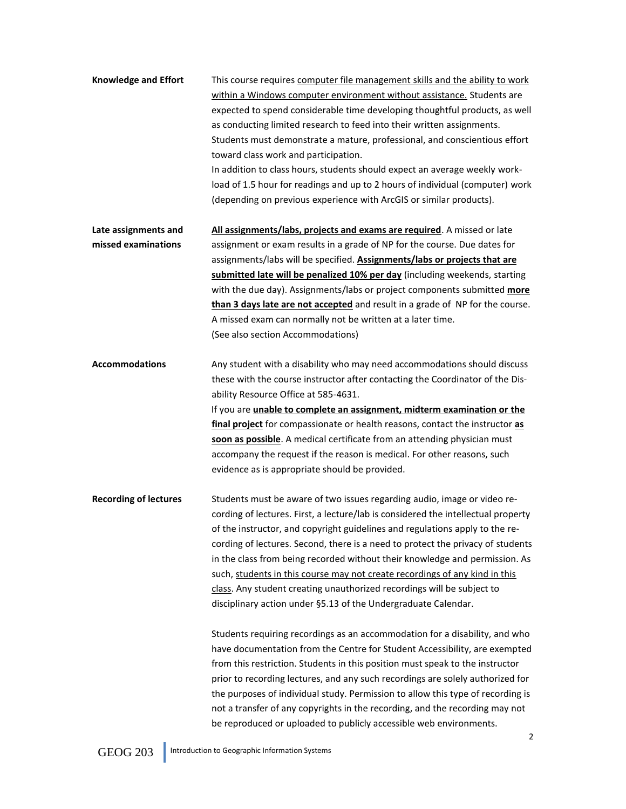**Knowledge and Effort** This course requires computer file management skills and the ability to work within a Windows computer environment without assistance. Students are expected to spend considerable time developing thoughtful products, as well as conducting limited research to feed into their written assignments. Students must demonstrate a mature, professional, and conscientious effort toward class work and participation. In addition to class hours, students should expect an average weekly workload of 1.5 hour for readings and up to 2 hours of individual (computer) work (depending on previous experience with ArcGIS or similar products).

**Late assignments and All assignments/labs, projects and exams are required**. A missed or late **missed examinations** assignment or exam results in a grade of NP for the course. Due dates for assignments/labs will be specified. **Assignments/labs or projects that are submitted late will be penalized 10% per day** (including weekends, starting with the due day). Assignments/labs or project components submitted **more than 3 days late are not accepted** and result in a grade of NP for the course. A missed exam can normally not be written at a later time. (See also section Accommodations)

**Accommodations** Any student with a disability who may need accommodations should discuss these with the course instructor after contacting the Coordinator of the Disability Resource Office at 585-4631.

> If you are **unable to complete an assignment, midterm examination or the final project** for compassionate or health reasons, contact the instructor **as soon as possible**. A medical certificate from an attending physician must accompany the request if the reason is medical. For other reasons, such evidence as is appropriate should be provided.

**Recording of lectures** Students must be aware of two issues regarding audio, image or video recording of lectures. First, a lecture/lab is considered the intellectual property of the instructor, and copyright guidelines and regulations apply to the recording of lectures. Second, there is a need to protect the privacy of students in the class from being recorded without their knowledge and permission. As such, students in this course may not create recordings of any kind in this class. Any student creating unauthorized recordings will be subject to disciplinary action under §5.13 of the Undergraduate Calendar.

> Students requiring recordings as an accommodation for a disability, and who have documentation from the Centre for Student Accessibility, are exempted from this restriction. Students in this position must speak to the instructor prior to recording lectures, and any such recordings are solely authorized for the purposes of individual study. Permission to allow this type of recording is not a transfer of any copyrights in the recording, and the recording may not be reproduced or uploaded to publicly accessible web environments.